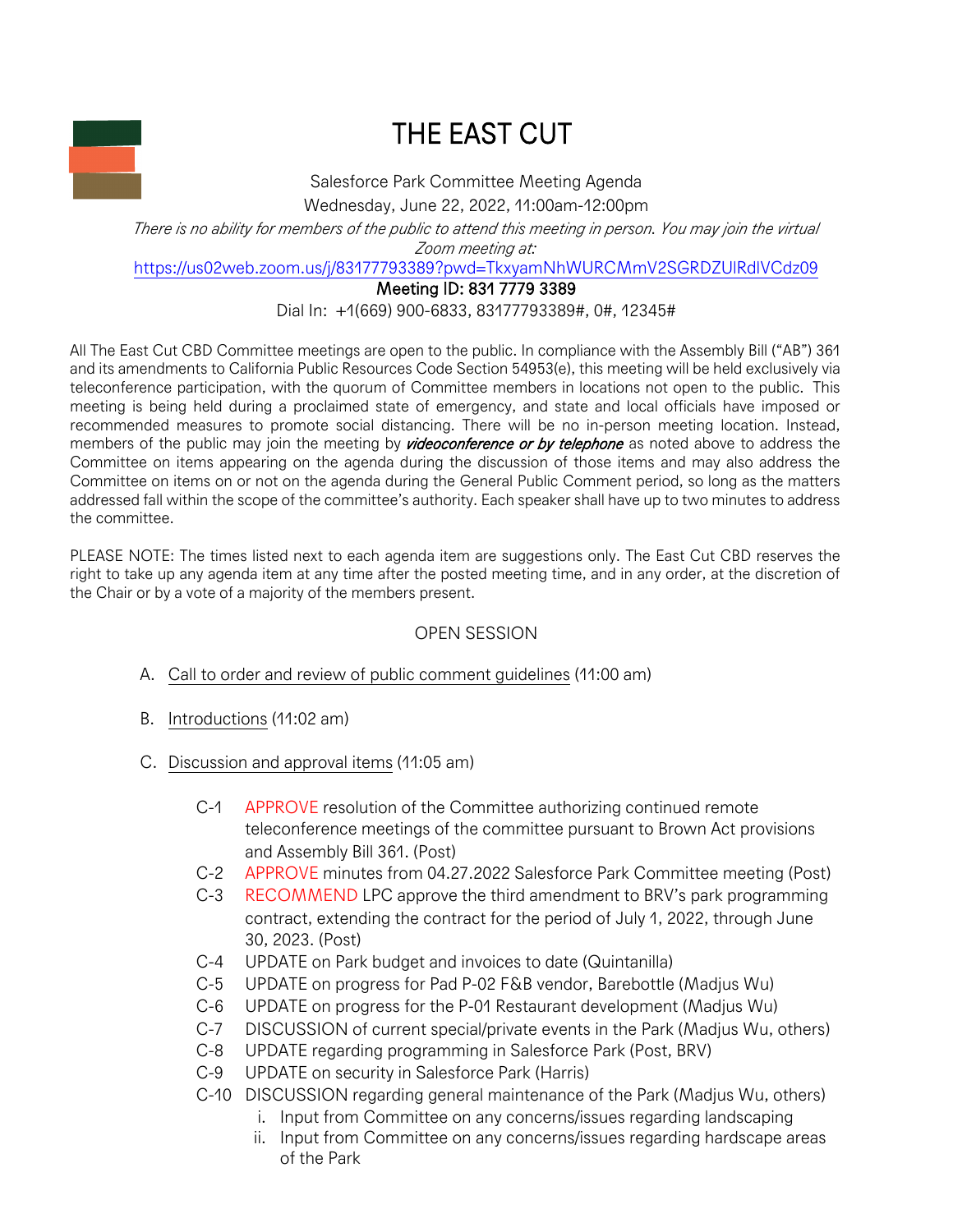

## THE EAST CUT

Salesforce Park Committee Meeting Agenda Wednesday, June 22, 2022, 11:00am-12:00pm

*There is no ability for members of the public to attend this meeting in person. You may join the virtual Zoom meeting at:*

https://us02web.zoom.us/j/83177793389?pwd=TkxyamNhWURCMmV2SGRDZUlRdlVCdz09

Meeting ID: 831 7779 3389

Dial In: +1(669) 900-6833, 83177793389#, 0#, 12345#

All The East Cut CBD Committee meetings are open to the public. In compliance with the Assembly Bill ("AB") 361 and its amendments to California Public Resources Code Section 54953(e), this meeting will be held exclusively via teleconference participation, with the quorum of Committee members in locations not open to the public. This meeting is being held during a proclaimed state of emergency, and state and local officials have imposed or recommended measures to promote social distancing. There will be no in-person meeting location. Instead, members of the public may join the meeting by *videoconference or by telephone* as noted above to address the Committee on items appearing on the agenda during the discussion of those items and may also address the Committee on items on or not on the agenda during the General Public Comment period, so long as the matters addressed fall within the scope of the committee's authority. Each speaker shall have up to two minutes to address the committee.

PLEASE NOTE: The times listed next to each agenda item are suggestions only. The East Cut CBD reserves the right to take up any agenda item at any time after the posted meeting time, and in any order, at the discretion of the Chair or by a vote of a majority of the members present.

## OPEN SESSION

- A. Call to order and review of public comment guidelines (11:00 am)
- B. Introductions (11:02 am)
- C. Discussion and approval items (11:05 am)
	- C-1 APPROVE resolution of the Committee authorizing continued remote teleconference meetings of the committee pursuant to Brown Act provisions and Assembly Bill 361. (Post)
	- C-2 APPROVE minutes from 04.27.2022 Salesforce Park Committee meeting (Post)
	- C-3 RECOMMEND LPC approve the third amendment to BRV's park programming contract, extending the contract for the period of July 1, 2022, through June 30, 2023. (Post)
	- C-4 UPDATE on Park budget and invoices to date (Quintanilla)
	- C-5 UPDATE on progress for Pad P-02 F&B vendor, Barebottle (Madjus Wu)
	- C-6 UPDATE on progress for the P-01 Restaurant development (Madjus Wu)
	- C-7 DISCUSSION of current special/private events in the Park (Madjus Wu, others)
	- C-8 UPDATE regarding programming in Salesforce Park (Post, BRV)
	- C-9 UPDATE on security in Salesforce Park (Harris)
	- C-10 DISCUSSION regarding general maintenance of the Park (Madjus Wu, others)
		- i. Input from Committee on any concerns/issues regarding landscaping
		- ii. Input from Committee on any concerns/issues regarding hardscape areas of the Park